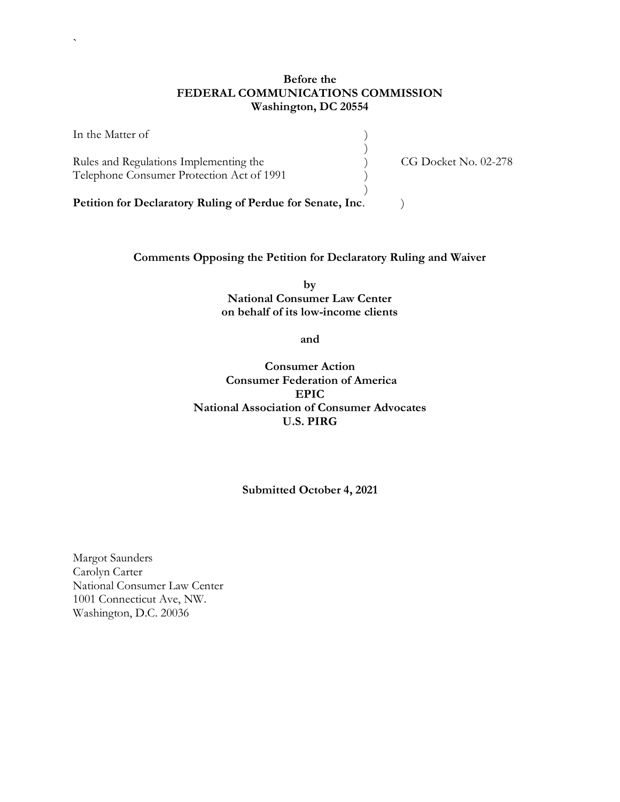# **Before the FEDERAL COMMUNICATIONS COMMISSION Washington, DC 20554**

)

)

In the Matter of  $\hspace{1.5cm}$  )

`

Rules and Regulations Implementing the  $\qquad \qquad$  (G Docket No. 02-278) Telephone Consumer Protection Act of 1991 )

Petition for Declaratory Ruling of Perdue for Senate, Inc. )

# **Comments Opposing the Petition for Declaratory Ruling and Waiver**

**by National Consumer Law Center on behalf of its low-income clients** 

**and**

**Consumer Action Consumer Federation of America EPIC National Association of Consumer Advocates U.S. PIRG**

**Submitted October 4, 2021**

Margot Saunders Carolyn Carter National Consumer Law Center 1001 Connecticut Ave, NW. Washington, D.C. 20036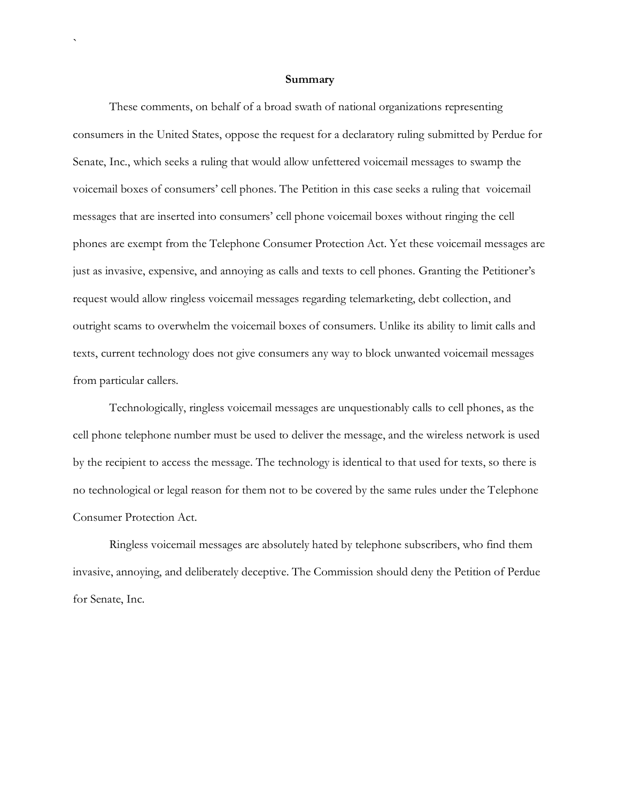#### **Summary**

`

These comments, on behalf of a broad swath of national organizations representing consumers in the United States, oppose the request for a declaratory ruling submitted by Perdue for Senate, Inc., which seeks a ruling that would allow unfettered voicemail messages to swamp the voicemail boxes of consumers' cell phones. The Petition in this case seeks a ruling that voicemail messages that are inserted into consumers' cell phone voicemail boxes without ringing the cell phones are exempt from the Telephone Consumer Protection Act. Yet these voicemail messages are just as invasive, expensive, and annoying as calls and texts to cell phones. Granting the Petitioner's request would allow ringless voicemail messages regarding telemarketing, debt collection, and outright scams to overwhelm the voicemail boxes of consumers. Unlike its ability to limit calls and texts, current technology does not give consumers any way to block unwanted voicemail messages from particular callers.

Technologically, ringless voicemail messages are unquestionably calls to cell phones, as the cell phone telephone number must be used to deliver the message, and the wireless network is used by the recipient to access the message. The technology is identical to that used for texts, so there is no technological or legal reason for them not to be covered by the same rules under the Telephone Consumer Protection Act.

Ringless voicemail messages are absolutely hated by telephone subscribers, who find them invasive, annoying, and deliberately deceptive. The Commission should deny the Petition of Perdue for Senate, Inc.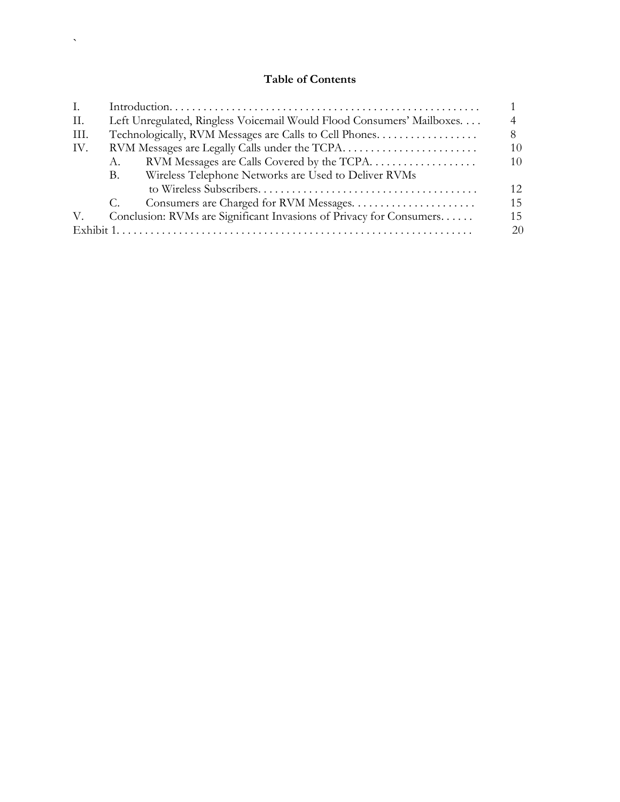# **Table of Contents**

 $\mathbf{x}^{(i)}$  .

| Ι.        |                                                                       |                                                      |     |
|-----------|-----------------------------------------------------------------------|------------------------------------------------------|-----|
| П.        | Left Unregulated, Ringless Voicemail Would Flood Consumers' Mailboxes |                                                      |     |
| III.      | Technologically, RVM Messages are Calls to Cell Phones                |                                                      | 8   |
| IV.       |                                                                       |                                                      | 10  |
|           | А.                                                                    | RVM Messages are Calls Covered by the TCPA           | 10  |
|           | B.                                                                    | Wireless Telephone Networks are Used to Deliver RVMs |     |
|           |                                                                       |                                                      | 12. |
|           | C.                                                                    |                                                      | 15  |
| V.        | Conclusion: RVMs are Significant Invasions of Privacy for Consumers   |                                                      | 15  |
| Exhibit 1 |                                                                       |                                                      | 20  |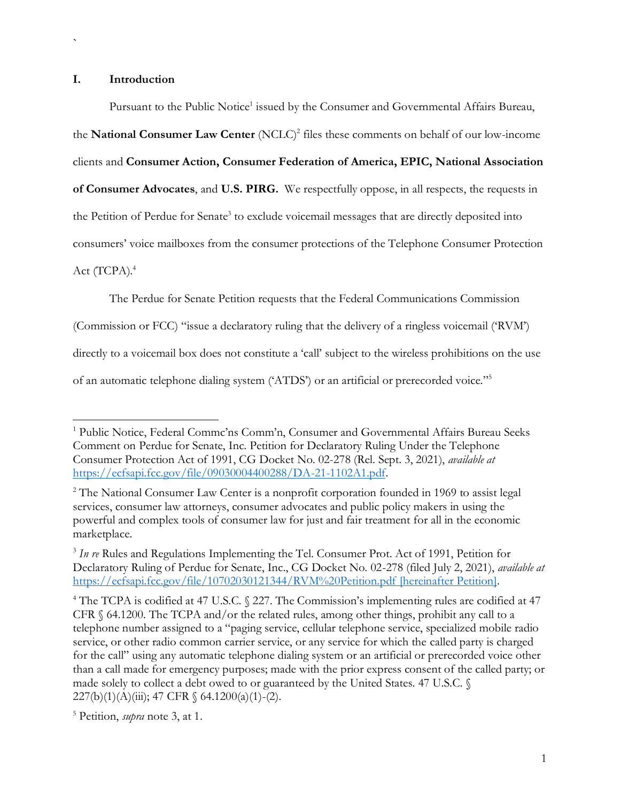#### **I. Introduction**

`

Pursuant to the Public Notice<sup>1</sup> issued by the Consumer and Governmental Affairs Bureau, the **National Consumer Law Center** (NCLC)<sup>2</sup> files these comments on behalf of our low-income clients and **Consumer Action, Consumer Federation of America, EPIC, National Association of Consumer Advocates**, and **U.S. PIRG.** We respectfully oppose, in all respects, the requests in the Petition of Perdue for Senate<sup>3</sup> to exclude voicemail messages that are directly deposited into consumers' voice mailboxes from the consumer protections of the Telephone Consumer Protection Act (TCPA).<sup>4</sup>

The Perdue for Senate Petition requests that the Federal Communications Commission

(Commission or FCC) "issue a declaratory ruling that the delivery of a ringless voicemail ('RVM')

directly to a voicemail box does not constitute a 'call' subject to the wireless prohibitions on the use

of an automatic telephone dialing system ('ATDS') or an artificial or prerecorded voice."<sup>5</sup>

<sup>&</sup>lt;sup>1</sup> Public Notice, Federal Commc'ns Comm'n, Consumer and Governmental Affairs Bureau Seeks Comment on Perdue for Senate, Inc. Petition for Declaratory Ruling Under the Telephone Consumer Protection Act of 1991, CG Docket No. 02-278 (Rel. Sept. 3, 2021), *available at* [https://ecfsapi.fcc.gov/file/09030004400288/DA-21-1102A1.pdf.](https://ecfsapi.fcc.gov/file/09030004400288/DA-21-1102A1.pdf)

<sup>&</sup>lt;sup>2</sup> The National Consumer Law Center is a nonprofit corporation founded in 1969 to assist legal services, consumer law attorneys, consumer advocates and public policy makers in using the powerful and complex tools of consumer law for just and fair treatment for all in the economic marketplace.

<sup>&</sup>lt;sup>3</sup> In re Rules and Regulations Implementing the Tel. Consumer Prot. Act of 1991, Petition for Declaratory Ruling of Perdue for Senate, Inc., CG Docket No. 02-278 (filed July 2, 2021), *available at* <https://ecfsapi.fcc.gov/file/10702030121344/RVM%20Petition.pdf> [hereinafter Petition].

<sup>&</sup>lt;sup>4</sup> The TCPA is codified at 47 U.S.C. § 227. The Commission's implementing rules are codified at 47 CFR § 64.1200. The TCPA and/or the related rules, among other things, prohibit any call to a telephone number assigned to a "paging service, cellular telephone service, specialized mobile radio service, or other radio common carrier service, or any service for which the called party is charged for the call" using any automatic telephone dialing system or an artificial or prerecorded voice other than a call made for emergency purposes; made with the prior express consent of the called party; or made solely to collect a debt owed to or guaranteed by the United States. 47 U.S.C. §  $227(b)(1)(A)(iii)$ ; 47 CFR § 64.1200(a)(1)-(2).

<sup>5</sup> Petition, *supra* note 3, at 1.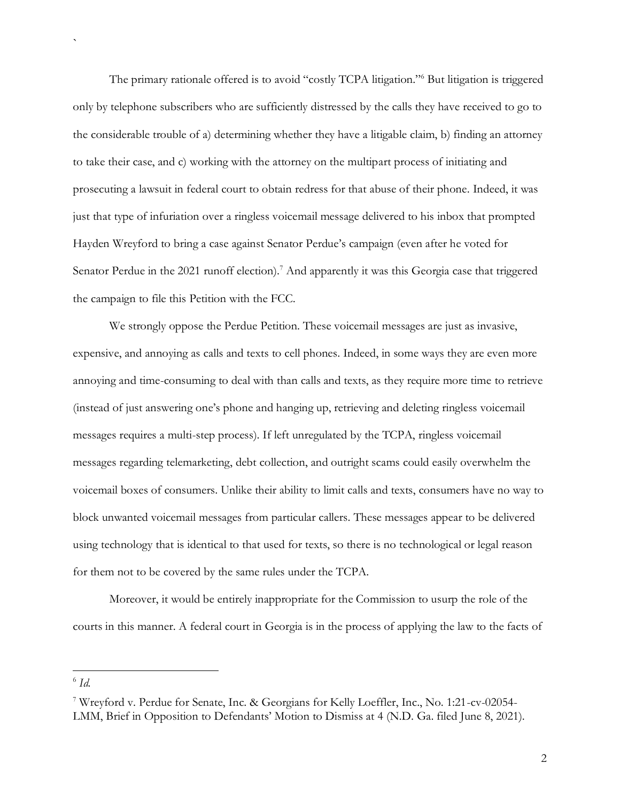The primary rationale offered is to avoid "costly TCPA litigation."<sup>6</sup> But litigation is triggered only by telephone subscribers who are sufficiently distressed by the calls they have received to go to the considerable trouble of a) determining whether they have a litigable claim, b) finding an attorney to take their case, and c) working with the attorney on the multipart process of initiating and prosecuting a lawsuit in federal court to obtain redress for that abuse of their phone. Indeed, it was just that type of infuriation over a ringless voicemail message delivered to his inbox that prompted Hayden Wreyford to bring a case against Senator Perdue's campaign (even after he voted for Senator Perdue in the 2021 runoff election).<sup>7</sup> And apparently it was this Georgia case that triggered the campaign to file this Petition with the FCC.

We strongly oppose the Perdue Petition. These voicemail messages are just as invasive, expensive, and annoying as calls and texts to cell phones. Indeed, in some ways they are even more annoying and time-consuming to deal with than calls and texts, as they require more time to retrieve (instead of just answering one's phone and hanging up, retrieving and deleting ringless voicemail messages requires a multi-step process). If left unregulated by the TCPA, ringless voicemail messages regarding telemarketing, debt collection, and outright scams could easily overwhelm the voicemail boxes of consumers. Unlike their ability to limit calls and texts, consumers have no way to block unwanted voicemail messages from particular callers. These messages appear to be delivered using technology that is identical to that used for texts, so there is no technological or legal reason for them not to be covered by the same rules under the TCPA.

Moreover, it would be entirely inappropriate for the Commission to usurp the role of the courts in this manner. A federal court in Georgia is in the process of applying the law to the facts of

<sup>6</sup> *Id.*

<sup>7</sup> Wreyford v. Perdue for Senate, Inc. & Georgians for Kelly Loeffler, Inc., No. 1:21-cv-02054- LMM, Brief in Opposition to Defendants' Motion to Dismiss at 4 (N.D. Ga. filed June 8, 2021).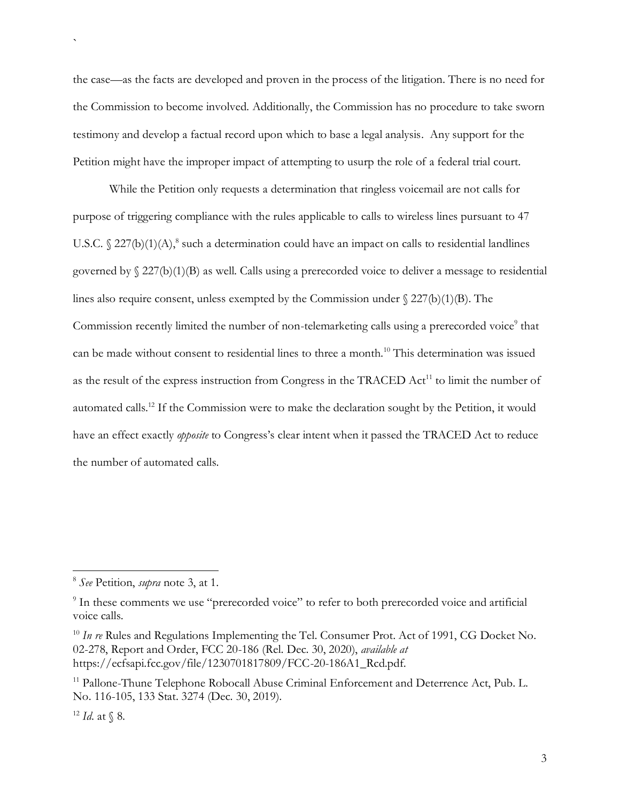the case—as the facts are developed and proven in the process of the litigation. There is no need for the Commission to become involved. Additionally, the Commission has no procedure to take sworn testimony and develop a factual record upon which to base a legal analysis. Any support for the Petition might have the improper impact of attempting to usurp the role of a federal trial court.

While the Petition only requests a determination that ringless voicemail are not calls for purpose of triggering compliance with the rules applicable to calls to wireless lines pursuant to 47 U.S.C.  $\S 227(b)(1)(A)$ ,<sup>8</sup> such a determination could have an impact on calls to residential landlines governed by § 227(b)(1)(B) as well. Calls using a prerecorded voice to deliver a message to residential lines also require consent, unless exempted by the Commission under  $\S 227(b)(1)(B)$ . The Commission recently limited the number of non-telemarketing calls using a prerecorded voice<sup>9</sup> that can be made without consent to residential lines to three a month.<sup>10</sup> This determination was issued as the result of the express instruction from Congress in the TRACED Act<sup>11</sup> to limit the number of automated calls.<sup>12</sup> If the Commission were to make the declaration sought by the Petition, it would have an effect exactly *opposite* to Congress's clear intent when it passed the TRACED Act to reduce the number of automated calls.

<sup>8</sup> *See* Petition, *supra* note 3, at 1.

<sup>&</sup>lt;sup>9</sup> In these comments we use "prerecorded voice" to refer to both prerecorded voice and artificial voice calls.

<sup>&</sup>lt;sup>10</sup> *In re* Rules and Regulations Implementing the Tel. Consumer Prot. Act of 1991, CG Docket No. 02-278, Report and Order, FCC 20-186 (Rel. Dec. 30, 2020), *available at* https://ecfsapi.fcc.gov/file/1230701817809/FCC-20-186A1\_Rcd.pdf.

<sup>&</sup>lt;sup>11</sup> Pallone-Thune Telephone Robocall Abuse Criminal Enforcement and Deterrence Act, Pub. L. No. 116-105, 133 Stat. 3274 (Dec. 30, 2019).

 $12$  *Id.* at § 8.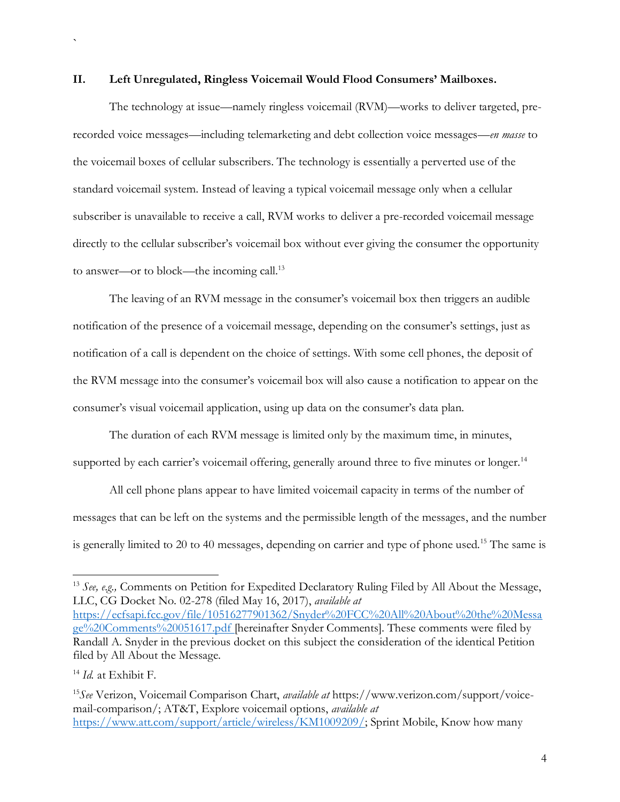#### **II. Left Unregulated, Ringless Voicemail Would Flood Consumers' Mailboxes.**

The technology at issue—namely ringless voicemail (RVM)—works to deliver targeted, prerecorded voice messages—including telemarketing and debt collection voice messages—*en masse* to the voicemail boxes of cellular subscribers. The technology is essentially a perverted use of the standard voicemail system. Instead of leaving a typical voicemail message only when a cellular subscriber is unavailable to receive a call, RVM works to deliver a pre-recorded voicemail message directly to the cellular subscriber's voicemail box without ever giving the consumer the opportunity to answer—or to block—the incoming call.<sup>13</sup>

The leaving of an RVM message in the consumer's voicemail box then triggers an audible notification of the presence of a voicemail message, depending on the consumer's settings, just as notification of a call is dependent on the choice of settings. With some cell phones, the deposit of the RVM message into the consumer's voicemail box will also cause a notification to appear on the consumer's visual voicemail application, using up data on the consumer's data plan.

The duration of each RVM message is limited only by the maximum time, in minutes, supported by each carrier's voicemail offering, generally around three to five minutes or longer.<sup>14</sup>

All cell phone plans appear to have limited voicemail capacity in terms of the number of messages that can be left on the systems and the permissible length of the messages, and the number is generally limited to 20 to 40 messages, depending on carrier and type of phone used.<sup>15</sup> The same is

<sup>&</sup>lt;sup>13</sup> See, e.g., Comments on Petition for Expedited Declaratory Ruling Filed by All About the Message, LLC, CG Docket No. 02-278 (filed May 16, 2017), *available at* [https://ecfsapi.fcc.gov/file/10516277901362/Snyder%20FCC%20All%20About%20the%20Messa](https://ecfsapi.fcc.gov/file/10516277901362/Snyder%20FCC%20All%20About%20the%20Message%20Comments%20051617.pdf) [ge%20Comments%20051617.pdf](https://ecfsapi.fcc.gov/file/10516277901362/Snyder%20FCC%20All%20About%20the%20Message%20Comments%20051617.pdf) [hereinafter Snyder Comments]. These comments were filed by Randall A. Snyder in the previous docket on this subject the consideration of the identical Petition filed by All About the Message.

<sup>14</sup> *Id.* at Exhibit F.

<sup>15</sup>*See* Verizon, Voicemail Comparison Chart, *available at* https://www.verizon.com/support/voicemail-comparison/; AT&T, Explore voicemail options, *available at* [https://www.att.com/support/article/wireless/KM1009209/;](https://www.att.com/support/article/wireless/KM1009209/) Sprint Mobile, Know how many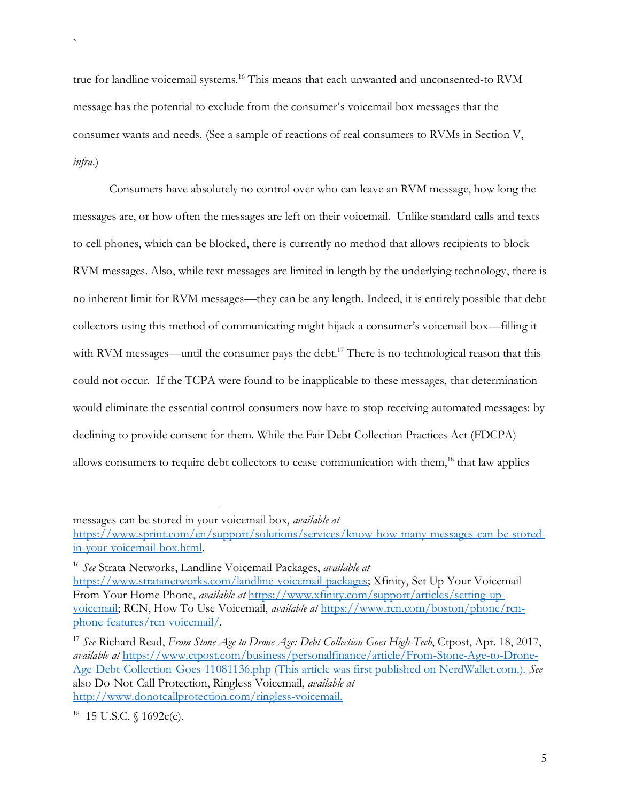true for landline voicemail systems.<sup>16</sup> This means that each unwanted and unconsented-to RVM message has the potential to exclude from the consumer's voicemail box messages that the consumer wants and needs. (See a sample of reactions of real consumers to RVMs in Section V, *infra*.)

Consumers have absolutely no control over who can leave an RVM message, how long the messages are, or how often the messages are left on their voicemail. Unlike standard calls and texts to cell phones, which can be blocked, there is currently no method that allows recipients to block RVM messages. Also, while text messages are limited in length by the underlying technology, there is no inherent limit for RVM messages—they can be any length. Indeed, it is entirely possible that debt collectors using this method of communicating might hijack a consumer's voicemail box—filling it with RVM messages—until the consumer pays the debt.<sup>17</sup> There is no technological reason that this could not occur. If the TCPA were found to be inapplicable to these messages, that determination would eliminate the essential control consumers now have to stop receiving automated messages: by declining to provide consent for them. While the Fair Debt Collection Practices Act (FDCPA) allows consumers to require debt collectors to cease communication with them,<sup>18</sup> that law applies

messages can be stored in your voicemail box, *available at*

[https://www.sprint.com/en/support/solutions/services/know-how-many-messages-can-be-stored](https://www.sprint.com/en/support/solutions/services/know-how-many-messages-can-be-stored-in-your-voicemail-box.html)[in-your-voicemail-box.html.](https://www.sprint.com/en/support/solutions/services/know-how-many-messages-can-be-stored-in-your-voicemail-box.html)

<sup>16</sup> *See* Strata Networks, Landline Voicemail Packages, *available at* [https://www.stratanetworks.com/landline-voicemail-packages;](https://www.stratanetworks.com/landline-voicemail-packages) Xfinity, Set Up Your Voicemail From Your Home Phone, *available at* [https://www.xfinity.com/support/articles/setting-up](https://www.xfinity.com/support/articles/setting-up-voicemail)[voicemail;](https://www.xfinity.com/support/articles/setting-up-voicemail) RCN, How To Use Voicemail, *available at* [https://www.rcn.com/boston/phone/rcn](https://www.rcn.com/boston/phone/rcn-phone-features/rcn-voicemail/)[phone-features/rcn-voicemail/.](https://www.rcn.com/boston/phone/rcn-phone-features/rcn-voicemail/)

<sup>17</sup> *See* Richard Read, *From Stone Age to Drone Age: Debt Collection Goes High-Tech*, Ctpost, Apr. 18, 2017, *available at* https://www.ctpost.com/business/personalfinance/article/From-Stone-Age-to-Drone-Age-Debt-Collection-Goes-11081136.php (This article was first published on NerdWallet.com.). *See*  also Do-Not-Call Protection, Ringless Voicemail, *available at* [http://www.donotcallprotection.com/ringless-voicemail.](http://www.donotcallprotection.com/ringless-voicemail)

 $18$  15 U.S.C. § 1692c(c).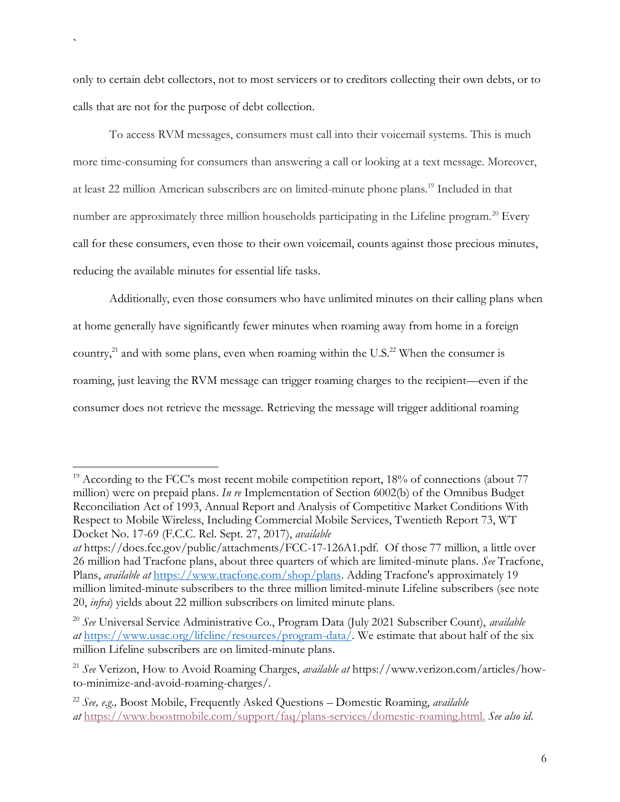only to certain debt collectors, not to most servicers or to creditors collecting their own debts, or to calls that are not for the purpose of debt collection.

`

To access RVM messages, consumers must call into their voicemail systems. This is much more time-consuming for consumers than answering a call or looking at a text message. Moreover, at least 22 million American subscribers are on limited-minute phone plans. <sup>19</sup> Included in that number are approximately three million households participating in the Lifeline program.<sup>20</sup> Every call for these consumers, even those to their own voicemail, counts against those precious minutes, reducing the available minutes for essential life tasks.

Additionally, even those consumers who have unlimited minutes on their calling plans when at home generally have significantly fewer minutes when roaming away from home in a foreign country,<sup>21</sup> and with some plans, even when roaming within the U.S.<sup>22</sup> When the consumer is roaming, just leaving the RVM message can trigger roaming charges to the recipient—even if the consumer does not retrieve the message. Retrieving the message will trigger additional roaming

 $19$  According to the FCC's most recent mobile competition report,  $18%$  of connections (about 77 million) were on prepaid plans. *In re* Implementation of Section 6002(b) of the Omnibus Budget Reconciliation Act of 1993, Annual Report and Analysis of Competitive Market Conditions With Respect to Mobile Wireless, Including Commercial Mobile Services, Twentieth Report 73, WT Docket No. 17-69 (F.C.C. Rel. Sept. 27, 2017), *available* 

*at* https://docs.fcc.gov/public/attachments/FCC-17-126A1.pdf. Of those 77 million, a little over 26 million had Tracfone plans, about three quarters of which are limited-minute plans. *See* Tracfone, Plans, *available at* [https://www.tracfone.com/shop/plans.](https://www.tracfone.com/shop/plans) Adding Tracfone's approximately 19 million limited-minute subscribers to the three million limited-minute Lifeline subscribers (see note 20, *infra*) yields about 22 million subscribers on limited minute plans.

<sup>20</sup> *See* Universal Service Administrative Co., Program Data (July 2021 Subscriber Count), *available at* [https://www.usac.org/lifeline/resources/program-data/.](https://www.usac.org/lifeline/resources/program-data/) We estimate that about half of the six million Lifeline subscribers are on limited-minute plans.

<sup>21</sup> *See* Verizon, How to Avoid Roaming Charges, *available at* https://www.verizon.com/articles/howto-minimize-and-avoid-roaming-charges/.

<sup>22</sup> *See, e.g.,* Boost Mobile, Frequently Asked Questions – Domestic Roaming, *available at* [https://www.boostmobile.com/support/faq/plans-services/domestic-roaming.html.](https://www.boostmobile.com/support/faq/plans-services/domestic-roaming.html) *See also id*.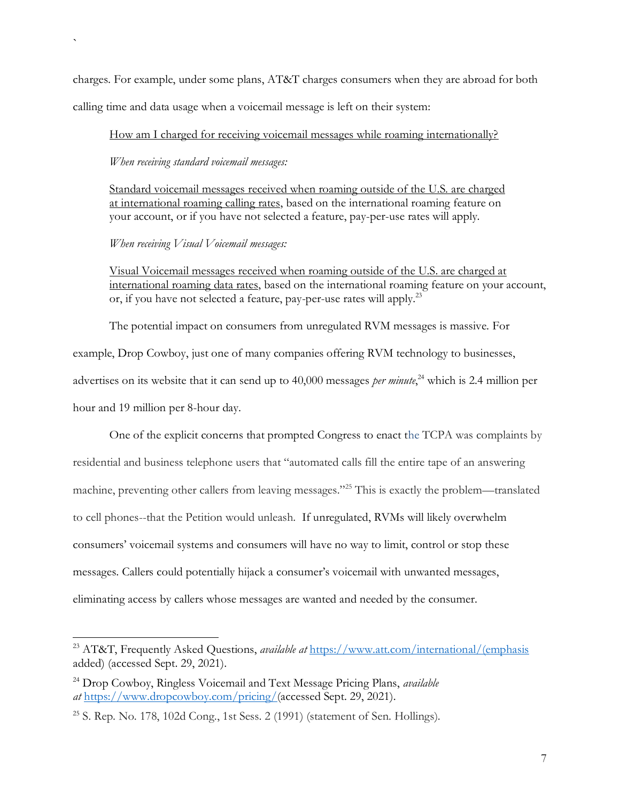charges. For example, under some plans, AT&T charges consumers when they are abroad for both calling time and data usage when a voicemail message is left on their system:

How am I charged for receiving voicemail messages while roaming internationally?

*When receiving standard voicemail messages:*

`

Standard voicemail messages received when roaming outside of the U.S. are charged at international roaming calling rates, based on the international roaming feature on your account, or if you have not selected a feature, pay-per-use rates will apply.

*When receiving Visual Voicemail messages:*

Visual Voicemail messages received when roaming outside of the U.S. are charged at international roaming data rates, based on the international roaming feature on your account, or, if you have not selected a feature, pay-per-use rates will apply.<sup>23</sup>

The potential impact on consumers from unregulated RVM messages is massive. For

example, Drop Cowboy, just one of many companies offering RVM technology to businesses,

advertises on its website that it can send up to 40,000 messages *per minute*,<sup>24</sup> which is 2.4 million per hour and 19 million per 8-hour day.

One of the explicit concerns that prompted Congress to enact the TCPA was complaints by residential and business telephone users that "automated calls fill the entire tape of an answering machine, preventing other callers from leaving messages."<sup>25</sup> This is exactly the problem—translated to cell phones--that the Petition would unleash. If unregulated, RVMs will likely overwhelm consumers' voicemail systems and consumers will have no way to limit, control or stop these messages. Callers could potentially hijack a consumer's voicemail with unwanted messages, eliminating access by callers whose messages are wanted and needed by the consumer.

<sup>23</sup> AT&T, Frequently Asked Questions, *available at* [https://www.att.com/international/\(emphasis](https://www.att.com/international/(emphasis) added) (accessed Sept. 29, 2021).

<sup>24</sup> Drop Cowboy, Ringless Voicemail and Text Message Pricing Plans, *available at* [https://www.dropcowboy.com/pricing/\(](https://www.dropcowboy.com/pricing/)accessed Sept. 29, 2021).

 $25$  S. Rep. No. 178, 102d Cong., 1st Sess. 2 (1991) (statement of Sen. Hollings).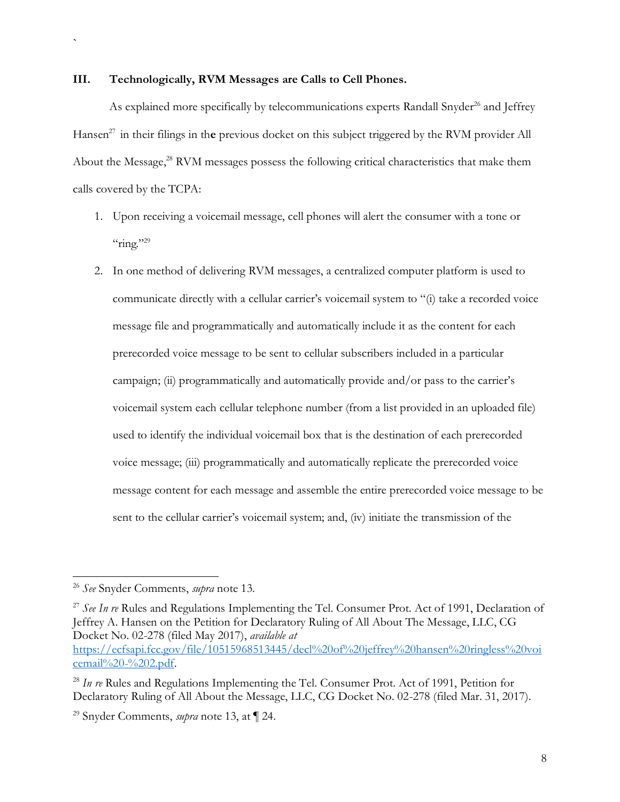#### **III. Technologically, RVM Messages are Calls to Cell Phones.**

`

As explained more specifically by telecommunications experts Randall Snyder<sup>26</sup> and Jeffrey Hansen <sup>27</sup> in their filings in th**e** previous docket on this subject triggered by the RVM provider All About the Message,<sup>28</sup> RVM messages possess the following critical characteristics that make them calls covered by the TCPA:

- 1. Upon receiving a voicemail message, cell phones will alert the consumer with a tone or  $\lq$ "ring."<sup>29</sup>
- 2. In one method of delivering RVM messages, a centralized computer platform is used to communicate directly with a cellular carrier's voicemail system to "(i) take a recorded voice message file and programmatically and automatically include it as the content for each prerecorded voice message to be sent to cellular subscribers included in a particular campaign; (ii) programmatically and automatically provide and/or pass to the carrier's voicemail system each cellular telephone number (from a list provided in an uploaded file) used to identify the individual voicemail box that is the destination of each prerecorded voice message; (iii) programmatically and automatically replicate the prerecorded voice message content for each message and assemble the entire prerecorded voice message to be sent to the cellular carrier's voicemail system; and, (iv) initiate the transmission of the

<sup>27</sup> See In re Rules and Regulations Implementing the Tel. Consumer Prot. Act of 1991, Declaration of Jeffrey A. Hansen on the Petition for Declaratory Ruling of All About The Message, LLC, CG Docket No. 02-278 (filed May 2017), *available at* [https://ecfsapi.fcc.gov/file/10515968513445/decl%20of%20jeffrey%20hansen%20ringless%20voi](https://ecfsapi.fcc.gov/file/10515968513445/decl%20of%20jeffrey%20hansen%20ringless%20voicemail%20-%202.pdf) [cemail%20-%202.pdf.](https://ecfsapi.fcc.gov/file/10515968513445/decl%20of%20jeffrey%20hansen%20ringless%20voicemail%20-%202.pdf)

<sup>26</sup> *See* Snyder Comments, *supra* note 13.

<sup>&</sup>lt;sup>28</sup> *In re* Rules and Regulations Implementing the Tel. Consumer Prot. Act of 1991, Petition for Declaratory Ruling of All About the Message, LLC, CG Docket No. 02-278 (filed Mar. 31, 2017).

<sup>29</sup> Snyder Comments, *supra* note 13, at ¶ 24.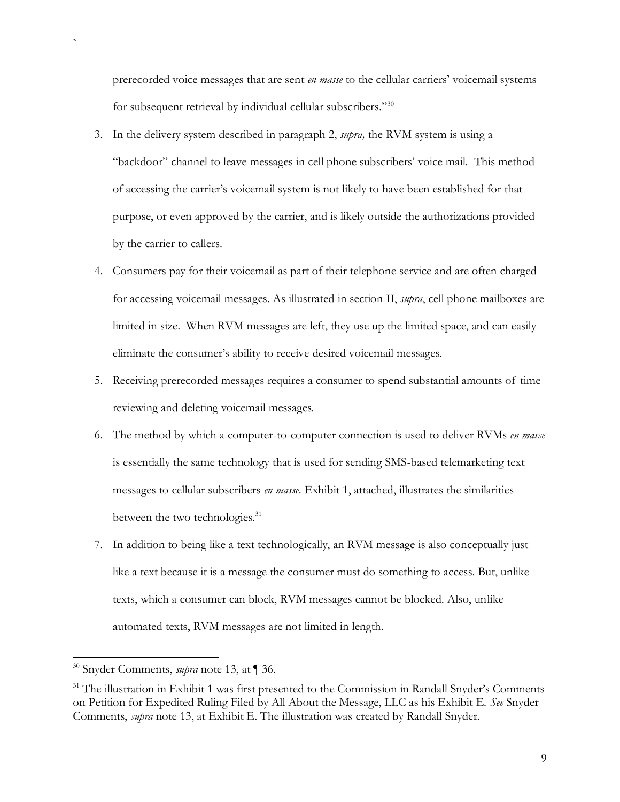prerecorded voice messages that are sent *en masse* to the cellular carriers' voicemail systems for subsequent retrieval by individual cellular subscribers."<sup>30</sup>

- 3. In the delivery system described in paragraph 2, *supra,* the RVM system is using a "backdoor" channel to leave messages in cell phone subscribers' voice mail. This method of accessing the carrier's voicemail system is not likely to have been established for that purpose, or even approved by the carrier, and is likely outside the authorizations provided by the carrier to callers.
- 4. Consumers pay for their voicemail as part of their telephone service and are often charged for accessing voicemail messages. As illustrated in section II, *supra*, cell phone mailboxes are limited in size. When RVM messages are left, they use up the limited space, and can easily eliminate the consumer's ability to receive desired voicemail messages.
- 5. Receiving prerecorded messages requires a consumer to spend substantial amounts of time reviewing and deleting voicemail messages.
- 6. The method by which a computer-to-computer connection is used to deliver RVMs *en masse*  is essentially the same technology that is used for sending SMS-based telemarketing text messages to cellular subscribers *en masse*. Exhibit 1, attached, illustrates the similarities between the two technologies.<sup>31</sup>
- 7. In addition to being like a text technologically, an RVM message is also conceptually just like a text because it is a message the consumer must do something to access. But, unlike texts, which a consumer can block, RVM messages cannot be blocked. Also, unlike automated texts, RVM messages are not limited in length.

<sup>30</sup> Snyder Comments, *supra* note 13, at ¶ 36.

<sup>&</sup>lt;sup>31</sup> The illustration in Exhibit 1 was first presented to the Commission in Randall Snyder's Comments on Petition for Expedited Ruling Filed by All About the Message, LLC as his Exhibit E. *See* Snyder Comments, *supra* note 13, at Exhibit E. The illustration was created by Randall Snyder.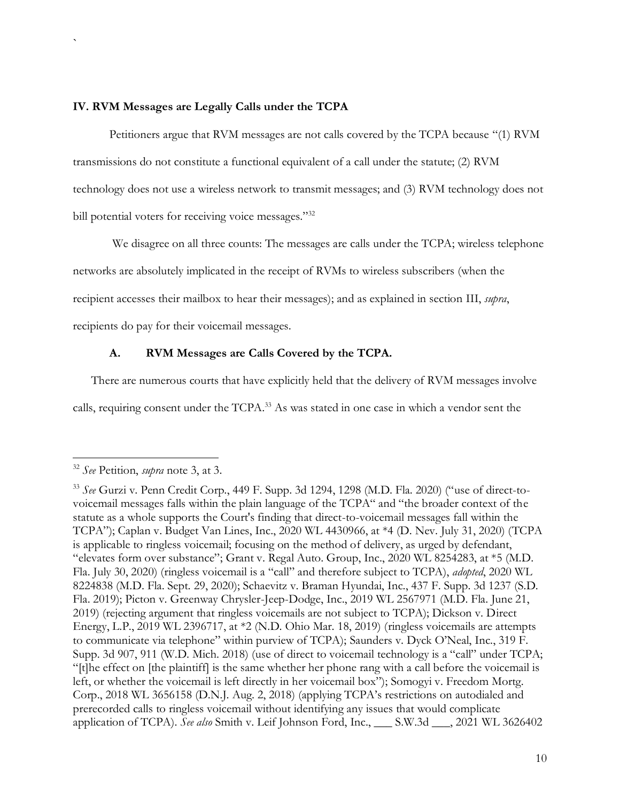### **IV. RVM Messages are Legally Calls under the TCPA**

`

Petitioners argue that RVM messages are not calls covered by the TCPA because "(1) RVM transmissions do not constitute a functional equivalent of a call under the statute; (2) RVM technology does not use a wireless network to transmit messages; and (3) RVM technology does not bill potential voters for receiving voice messages."32

We disagree on all three counts: The messages are calls under the TCPA; wireless telephone networks are absolutely implicated in the receipt of RVMs to wireless subscribers (when the recipient accesses their mailbox to hear their messages); and as explained in section III, *supra*, recipients do pay for their voicemail messages.

# **A. RVM Messages are Calls Covered by the TCPA.**

There are numerous courts that have explicitly held that the delivery of RVM messages involve calls, requiring consent under the TCPA.<sup>33</sup> As was stated in one case in which a vendor sent the

<sup>32</sup> *See* Petition, *supra* note 3, at 3.

<sup>33</sup> *See* Gurzi v. Penn Credit Corp., 449 F. Supp. 3d 1294, 1298 (M.D. Fla. 2020) ("use of direct-tovoicemail messages falls within the plain language of the TCPA" and "the broader context of the statute as a whole supports the Court's finding that direct-to-voicemail messages fall within the TCPA"); Caplan v. Budget Van Lines, Inc., 2020 WL 4430966, at \*4 (D. Nev. July 31, 2020) (TCPA is applicable to ringless voicemail; focusing on the method of delivery, as urged by defendant, "elevates form over substance"; Grant v. Regal Auto. Group, Inc., 2020 WL 8254283, at \*5 (M.D. Fla. July 30, 2020) (ringless voicemail is a "call" and therefore subject to TCPA), *adopted*, 2020 WL 8224838 (M.D. Fla. Sept. 29, 2020); Schaevitz v. Braman Hyundai, Inc., 437 F. Supp. 3d 1237 (S.D. Fla. 2019); Picton v. Greenway Chrysler-Jeep-Dodge, Inc., 2019 WL 2567971 (M.D. Fla. June 21, 2019) (rejecting argument that ringless voicemails are not subject to TCPA); Dickson v. Direct Energy, L.P., 2019 WL 2396717, at \*2 (N.D. Ohio Mar. 18, 2019) (ringless voicemails are attempts to communicate via telephone" within purview of TCPA); Saunders v. Dyck O'Neal, Inc., 319 F. Supp. 3d 907, 911 (W.D. Mich. 2018) (use of direct to voicemail technology is a "call" under TCPA; "[t]he effect on [the plaintiff] is the same whether her phone rang with a call before the voicemail is left, or whether the voicemail is left directly in her voicemail box"); Somogyi v. Freedom Mortg. Corp., 2018 WL 3656158 (D.N.J. Aug. 2, 2018) (applying TCPA's restrictions on autodialed and prerecorded calls to ringless voicemail without identifying any issues that would complicate application of TCPA). *See also* Smith v. Leif Johnson Ford, Inc., \_\_\_ S.W.3d \_\_\_, 2021 WL 3626402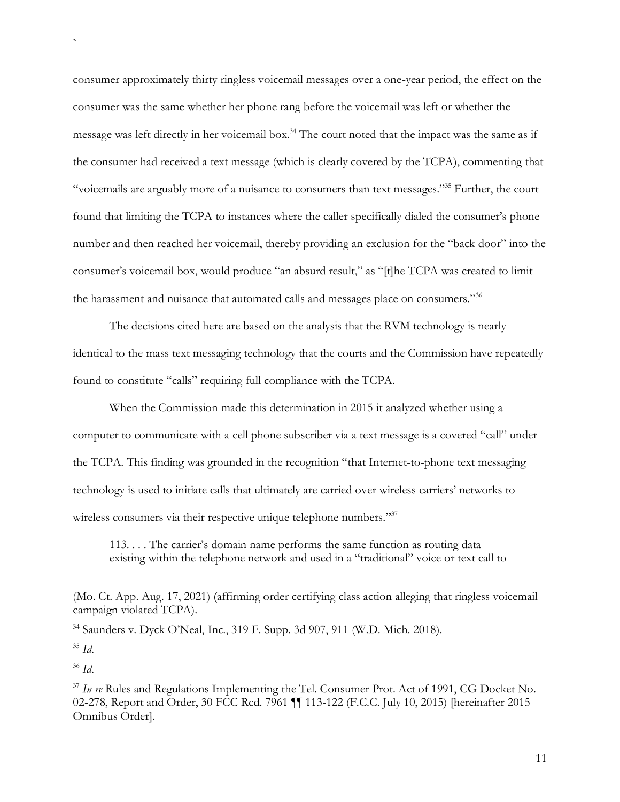consumer approximately thirty ringless voicemail messages over a one-year period, the effect on the consumer was the same whether her phone rang before the voicemail was left or whether the message was left directly in her voicemail box.<sup>34</sup> The court noted that the impact was the same as if the consumer had received a text message (which is clearly covered by the TCPA), commenting that "voicemails are arguably more of a nuisance to consumers than text messages."<sup>35</sup> Further, the court found that limiting the TCPA to instances where the caller specifically dialed the consumer's phone number and then reached her voicemail, thereby providing an exclusion for the "back door" into the consumer's voicemail box, would produce "an absurd result," as "[t]he TCPA was created to limit the harassment and nuisance that automated calls and messages place on consumers."<sup>36</sup>

The decisions cited here are based on the analysis that the RVM technology is nearly identical to the mass text messaging technology that the courts and the Commission have repeatedly found to constitute "calls" requiring full compliance with the TCPA.

When the Commission made this determination in 2015 it analyzed whether using a computer to communicate with a cell phone subscriber via a text message is a covered "call" under the TCPA. This finding was grounded in the recognition "that Internet-to-phone text messaging technology is used to initiate calls that ultimately are carried over wireless carriers' networks to wireless consumers via their respective unique telephone numbers."<sup>37</sup>

113. . . . The carrier's domain name performs the same function as routing data existing within the telephone network and used in a "traditional" voice or text call to

`

<sup>36</sup> *Id*.

<sup>(</sup>Mo. Ct. App. Aug. 17, 2021) (affirming order certifying class action alleging that ringless voicemail campaign violated TCPA).

<sup>34</sup> Saunders v. Dyck O'Neal, Inc., 319 F. Supp. 3d 907, 911 (W.D. Mich. 2018).

<sup>35</sup> *Id*.

<sup>&</sup>lt;sup>37</sup> In re Rules and Regulations Implementing the Tel. Consumer Prot. Act of 1991, CG Docket No. 02-278, Report and Order, 30 FCC Rcd. 7961 ¶¶ 113-122 (F.C.C. July 10, 2015) [hereinafter 2015 Omnibus Order].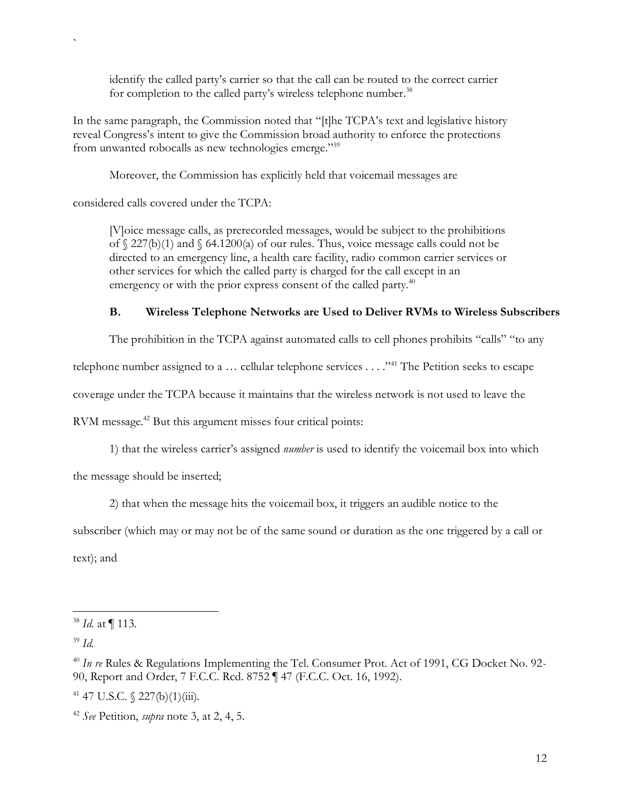identify the called party's carrier so that the call can be routed to the correct carrier for completion to the called party's wireless telephone number.<sup>38</sup>

In the same paragraph, the Commission noted that "[t]he TCPA's text and legislative history reveal Congress's intent to give the Commission broad authority to enforce the protections from unwanted robocalls as new technologies emerge."<sup>39</sup>

Moreover, the Commission has explicitly held that voicemail messages are

considered calls covered under the TCPA:

`

[V]oice message calls, as prerecorded messages, would be subject to the prohibitions of  $\S$  227(b)(1) and  $\S$  64.1200(a) of our rules. Thus, voice message calls could not be directed to an emergency line, a health care facility, radio common carrier services or other services for which the called party is charged for the call except in an emergency or with the prior express consent of the called party.<sup>40</sup>

# **B. Wireless Telephone Networks are Used to Deliver RVMs to Wireless Subscribers**

The prohibition in the TCPA against automated calls to cell phones prohibits "calls" "to any

telephone number assigned to a ... cellular telephone services ... ."<sup>41</sup> The Petition seeks to escape

coverage under the TCPA because it maintains that the wireless network is not used to leave the

RVM message. <sup>42</sup> But this argument misses four critical points:

1) that the wireless carrier's assigned *number* is used to identify the voicemail box into which

the message should be inserted;

2) that when the message hits the voicemail box, it triggers an audible notice to the

subscriber (which may or may not be of the same sound or duration as the one triggered by a call or text); and

<sup>38</sup> *Id.* at ¶ 113.

<sup>39</sup> *Id.*

<sup>&</sup>lt;sup>40</sup> In re Rules & Regulations Implementing the Tel. Consumer Prot. Act of 1991, CG Docket No. 92-90, Report and Order, 7 F.C.C. Rcd. 8752 ¶ 47 (F.C.C. Oct. 16, 1992).

 $41$  47 U.S.C.  $\frac{227(b)(1)(iii)}{11}$ .

<sup>42</sup> *See* Petition, *supra* note 3, at 2, 4, 5.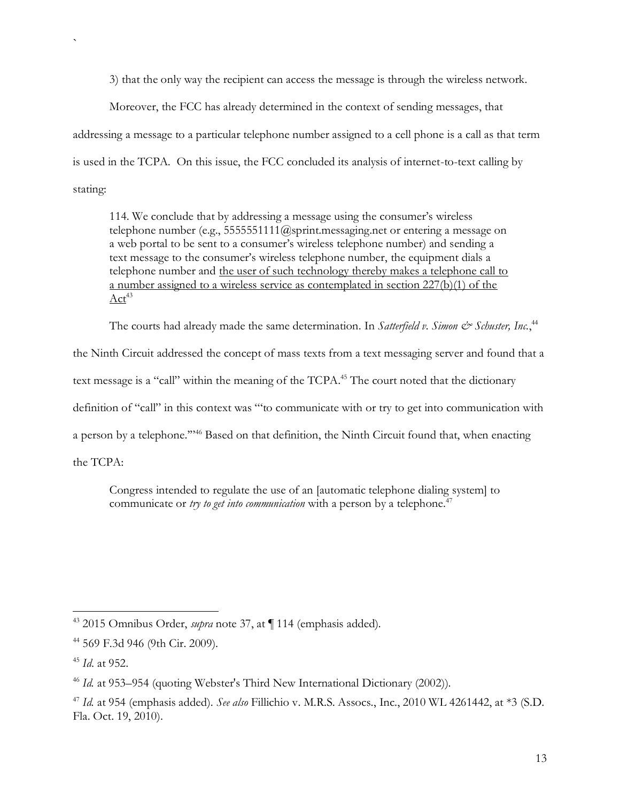3) that the only way the recipient can access the message is through the wireless network.

Moreover, the FCC has already determined in the context of sending messages, that addressing a message to a particular telephone number assigned to a cell phone is a call as that term is used in the TCPA. On this issue, the FCC concluded its analysis of internet-to-text calling by stating:

114. We conclude that by addressing a message using the consumer's wireless telephone number (e.g., 5555551111@sprint.messaging.net or entering a message on a web portal to be sent to a consumer's wireless telephone number) and sending a text message to the consumer's wireless telephone number, the equipment dials a telephone number and the user of such technology thereby makes a telephone call to a number assigned to a wireless service as contemplated in section 227(b)(1) of the  $Act^{43}$ 

The courts had already made the same determination. In Satterfield v. Simon & Schuster, Inc.,<sup>44</sup>

the Ninth Circuit addressed the concept of mass texts from a text messaging server and found that a

text message is a "call" within the meaning of the TCPA.<sup>45</sup> The court noted that the dictionary

definition of "call" in this context was "'to communicate with or try to get into communication with

a person by a telephone.'"<sup>46</sup> Based on that definition, the Ninth Circuit found that, when enacting

the TCPA:

`

Congress intended to regulate the use of an [automatic telephone dialing system] to communicate or *try to get into communication* with a person by a telephone.<sup>47</sup>

<sup>43</sup> 2015 Omnibus Order, *supra* note 37, at ¶ 114 (emphasis added)*.*

<sup>44</sup> 569 F.3d 946 (9th Cir. 2009).

<sup>45</sup> *Id*. at 952.

<sup>&</sup>lt;sup>46</sup> *Id.* at 953–954 (quoting Webster's Third New International Dictionary (2002)).

<sup>47</sup> *Id.* at 954 (emphasis added). *See also* Fillichio v. M.R.S. Assocs., Inc., 2010 WL 4261442, at \*3 (S.D. Fla. Oct. 19, 2010).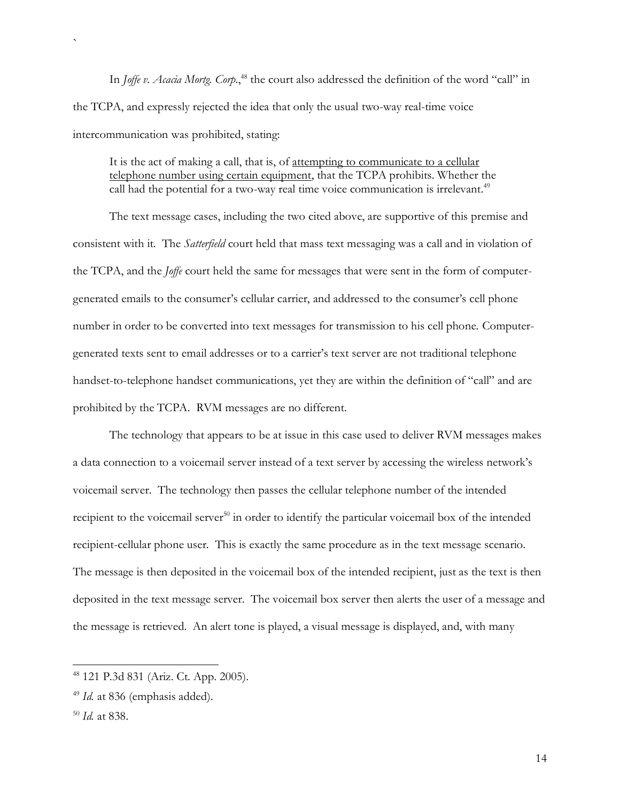In *Joffe v. Acacia Mortg. Corp*.,<sup>48</sup> the court also addressed the definition of the word "call" in the TCPA, and expressly rejected the idea that only the usual two-way real-time voice intercommunication was prohibited, stating:

It is the act of making a call, that is, of attempting to communicate to a cellular telephone number using certain equipment, that the TCPA prohibits. Whether the call had the potential for a two-way real time voice communication is irrelevant.<sup>49</sup>

The text message cases, including the two cited above, are supportive of this premise and consistent with it. The *Satterfield* court held that mass text messaging was a call and in violation of the TCPA, and the *Joffe* court held the same for messages that were sent in the form of computergenerated emails to the consumer's cellular carrier, and addressed to the consumer's cell phone number in order to be converted into text messages for transmission to his cell phone. Computergenerated texts sent to email addresses or to a carrier's text server are not traditional telephone handset-to-telephone handset communications, yet they are within the definition of "call" and are prohibited by the TCPA. RVM messages are no different.

The technology that appears to be at issue in this case used to deliver RVM messages makes a data connection to a voicemail server instead of a text server by accessing the wireless network's voicemail server. The technology then passes the cellular telephone number of the intended recipient to the voicemail server<sup>50</sup> in order to identify the particular voicemail box of the intended recipient-cellular phone user. This is exactly the same procedure as in the text message scenario. The message is then deposited in the voicemail box of the intended recipient, just as the text is then deposited in the text message server. The voicemail box server then alerts the user of a message and the message is retrieved. An alert tone is played, a visual message is displayed, and, with many

<sup>48</sup> 121 P.3d 831 (Ariz. Ct. App. 2005).

<sup>&</sup>lt;sup>49</sup> *Id.* at 836 (emphasis added).

<sup>50</sup> *Id.* at 838.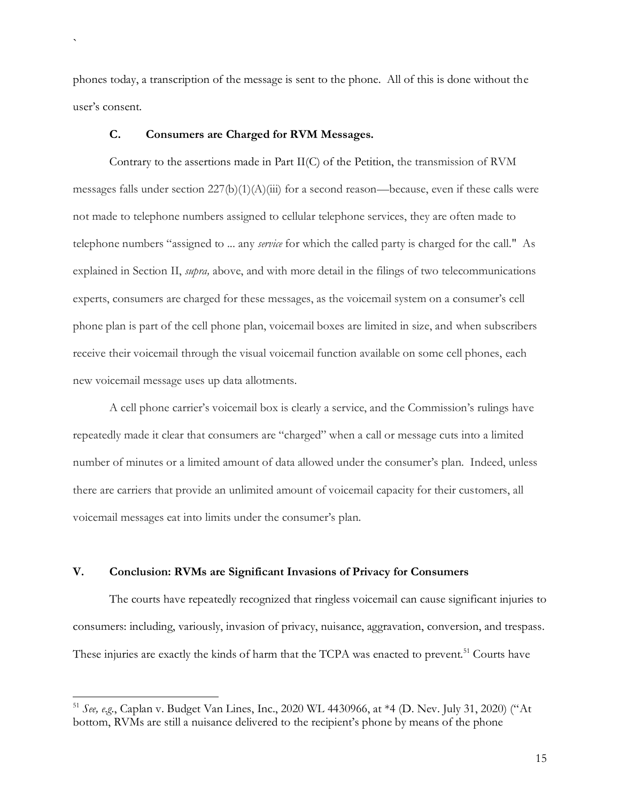phones today, a transcription of the message is sent to the phone. All of this is done without the user's consent.

#### **C. Consumers are Charged for RVM Messages.**

`

Contrary to the assertions made in Part II(C) of the Petition, the transmission of RVM messages falls under section  $227(b)(1)(A)(iii)$  for a second reason—because, even if these calls were not made to telephone numbers assigned to cellular telephone services, they are often made to telephone numbers "assigned to ... any *service* for which the called party is charged for the call." As explained in Section II, *supra,* above, and with more detail in the filings of two telecommunications experts, consumers are charged for these messages, as the voicemail system on a consumer's cell phone plan is part of the cell phone plan, voicemail boxes are limited in size, and when subscribers receive their voicemail through the visual voicemail function available on some cell phones, each new voicemail message uses up data allotments.

A cell phone carrier's voicemail box is clearly a service, and the Commission's rulings have repeatedly made it clear that consumers are "charged" when a call or message cuts into a limited number of minutes or a limited amount of data allowed under the consumer's plan. Indeed, unless there are carriers that provide an unlimited amount of voicemail capacity for their customers, all voicemail messages eat into limits under the consumer's plan.

## **V. Conclusion: RVMs are Significant Invasions of Privacy for Consumers**

The courts have repeatedly recognized that ringless voicemail can cause significant injuries to consumers: including, variously, invasion of privacy, nuisance, aggravation, conversion, and trespass. These injuries are exactly the kinds of harm that the TCPA was enacted to prevent.<sup>51</sup> Courts have

<sup>51</sup> *See, e.g.*, Caplan v. Budget Van Lines, Inc., 2020 WL 4430966, at \*4 (D. Nev. July 31, 2020) ("At bottom, RVMs are still a nuisance delivered to the recipient's phone by means of the phone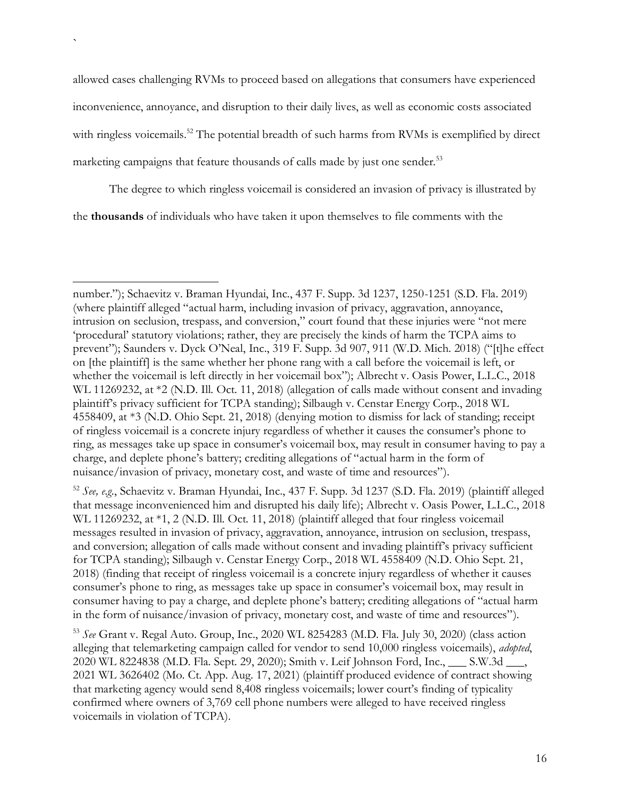allowed cases challenging RVMs to proceed based on allegations that consumers have experienced inconvenience, annoyance, and disruption to their daily lives, as well as economic costs associated with ringless voicemails.<sup>52</sup> The potential breadth of such harms from RVMs is exemplified by direct marketing campaigns that feature thousands of calls made by just one sender.<sup>53</sup>

`

The degree to which ringless voicemail is considered an invasion of privacy is illustrated by the **thousands** of individuals who have taken it upon themselves to file comments with the

<sup>52</sup> *See, e.g.*, Schaevitz v. Braman Hyundai, Inc., 437 F. Supp. 3d 1237 (S.D. Fla. 2019) (plaintiff alleged that message inconvenienced him and disrupted his daily life); Albrecht v. Oasis Power, L.L.C., 2018 WL 11269232, at \*1, 2 (N.D. Ill. Oct. 11, 2018) (plaintiff alleged that four ringless voicemail messages resulted in invasion of privacy, aggravation, annoyance, intrusion on seclusion, trespass, and conversion; allegation of calls made without consent and invading plaintiff's privacy sufficient for TCPA standing); Silbaugh v. Censtar Energy Corp., 2018 WL 4558409 (N.D. Ohio Sept. 21, 2018) (finding that receipt of ringless voicemail is a concrete injury regardless of whether it causes consumer's phone to ring, as messages take up space in consumer's voicemail box, may result in consumer having to pay a charge, and deplete phone's battery; crediting allegations of "actual harm in the form of nuisance/invasion of privacy, monetary cost, and waste of time and resources").

<sup>53</sup> *See* Grant v. Regal Auto. Group, Inc., 2020 WL 8254283 (M.D. Fla. July 30, 2020) (class action alleging that telemarketing campaign called for vendor to send 10,000 ringless voicemails), *adopted*, 2020 WL 8224838 (M.D. Fla. Sept. 29, 2020); Smith v. Leif Johnson Ford, Inc., \_\_\_ S.W.3d \_\_\_, 2021 WL 3626402 (Mo. Ct. App. Aug. 17, 2021) (plaintiff produced evidence of contract showing that marketing agency would send 8,408 ringless voicemails; lower court's finding of typicality confirmed where owners of 3,769 cell phone numbers were alleged to have received ringless voicemails in violation of TCPA).

number."); Schaevitz v. Braman Hyundai, Inc., 437 F. Supp. 3d 1237, 1250-1251 (S.D. Fla. 2019) (where plaintiff alleged "actual harm, including invasion of privacy, aggravation, annoyance, intrusion on seclusion, trespass, and conversion," court found that these injuries were "not mere 'procedural' statutory violations; rather, they are precisely the kinds of harm the TCPA aims to prevent"); Saunders v. Dyck O'Neal, Inc., 319 F. Supp. 3d 907, 911 (W.D. Mich. 2018) ("[t]he effect on [the plaintiff] is the same whether her phone rang with a call before the voicemail is left, or whether the voicemail is left directly in her voicemail box"); Albrecht v. Oasis Power, L.L.C., 2018 WL 11269232, at \*2 (N.D. Ill. Oct. 11, 2018) (allegation of calls made without consent and invading plaintiff's privacy sufficient for TCPA standing); Silbaugh v. Censtar Energy Corp., 2018 WL 4558409, at \*3 (N.D. Ohio Sept. 21, 2018) (denying motion to dismiss for lack of standing; receipt of ringless voicemail is a concrete injury regardless of whether it causes the consumer's phone to ring, as messages take up space in consumer's voicemail box, may result in consumer having to pay a charge, and deplete phone's battery; crediting allegations of "actual harm in the form of nuisance/invasion of privacy, monetary cost, and waste of time and resources").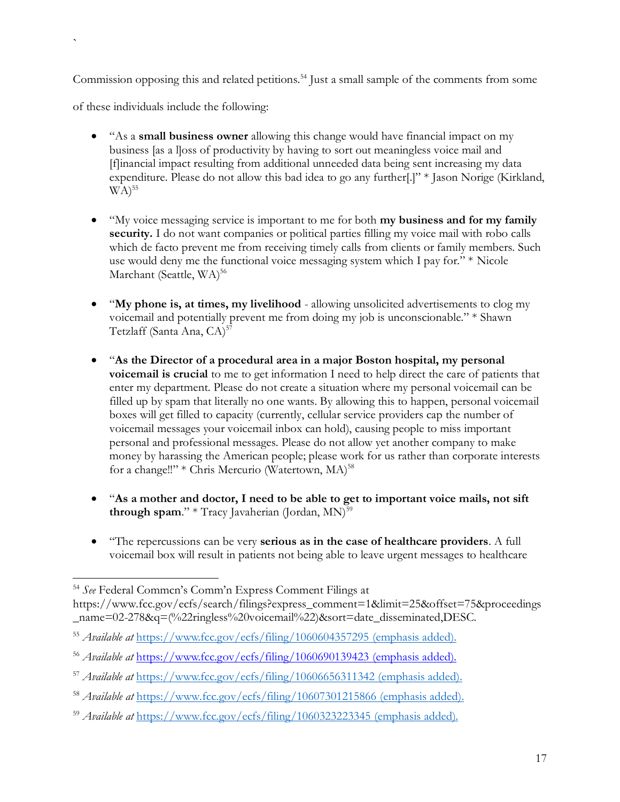Commission opposing this and related petitions.<sup>54</sup> Just a small sample of the comments from some

of these individuals include the following:

- "As a **small business owner** allowing this change would have financial impact on my business [as a l]oss of productivity by having to sort out meaningless voice mail and [f]inancial impact resulting from additional unneeded data being sent increasing my data expenditure. Please do not allow this bad idea to go any further[.]" \* Jason Norige (Kirkland,  $WA)^{55}$
- "My voice messaging service is important to me for both **my business and for my family security.** I do not want companies or political parties filling my voice mail with robo calls which de facto prevent me from receiving timely calls from clients or family members. Such use would deny me the functional voice messaging system which I pay for." \* Nicole Marchant (Seattle, WA)<sup>56</sup>
- "**My phone is, at times, my livelihood** allowing unsolicited advertisements to clog my voicemail and potentially prevent me from doing my job is unconscionable." \* Shawn Tetzlaff (Santa Ana, CA)<sup>57</sup>
- "**As the Director of a procedural area in a major Boston hospital, my personal voicemail is crucial** to me to get information I need to help direct the care of patients that enter my department. Please do not create a situation where my personal voicemail can be filled up by spam that literally no one wants. By allowing this to happen, personal voicemail boxes will get filled to capacity (currently, cellular service providers cap the number of voicemail messages your voicemail inbox can hold), causing people to miss important personal and professional messages. Please do not allow yet another company to make money by harassing the American people; please work for us rather than corporate interests for a change!!" \* Chris Mercurio (Watertown, MA)<sup>58</sup>
- "**As a mother and doctor, I need to be able to get to important voice mails, not sift through spam.**" \* Tracy Javaherian (Jordan,  $MN$ )<sup>59</sup>
- "The repercussions can be very **serious as in the case of healthcare providers**. A full voicemail box will result in patients not being able to leave urgent messages to healthcare

<sup>54</sup> *See* Federal Commcn's Comm'n Express Comment Filings at

https://www.fcc.gov/ecfs/search/filings?express\_comment=1&limit=25&offset=75&proceedings \_name=02-278&q=(%22ringless%20voicemail%22)&sort=date\_disseminated,DESC.

<sup>55</sup> *Available at* <https://www.fcc.gov/ecfs/filing/1060604357295> (emphasis added).

<sup>56</sup> *Available at* <https://www.fcc.gov/ecfs/filing/1060690139423> (emphasis added).

<sup>57</sup> *Available at* <https://www.fcc.gov/ecfs/filing/10606656311342> (emphasis added).

<sup>58</sup> *Available at* <https://www.fcc.gov/ecfs/filing/10607301215866> (emphasis added).

<sup>59</sup> *Available at* <https://www.fcc.gov/ecfs/filing/1060323223345> (emphasis added).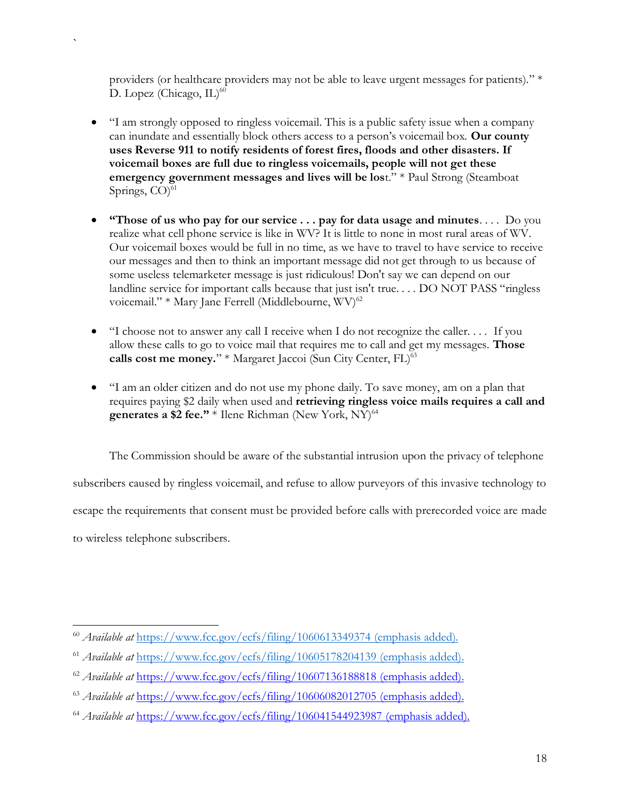providers (or healthcare providers may not be able to leave urgent messages for patients)." \* D. Lopez (Chicago, IL)<sup>60</sup>

`

- "I am strongly opposed to ringless voicemail. This is a public safety issue when a company can inundate and essentially block others access to a person's voicemail box. **Our county uses Reverse 911 to notify residents of forest fires, floods and other disasters. If voicemail boxes are full due to ringless voicemails, people will not get these emergency government messages and lives will be los**t." \* Paul Strong (Steamboat Springs,  $CO$ <sup>61</sup>
- **"Those of us who pay for our service . . . pay for data usage and minutes**. . . . Do you realize what cell phone service is like in WV? It is little to none in most rural areas of WV. Our voicemail boxes would be full in no time, as we have to travel to have service to receive our messages and then to think an important message did not get through to us because of some useless telemarketer message is just ridiculous! Don't say we can depend on our landline service for important calls because that just isn't true. . . . DO NOT PASS "ringless voicemail." \* Mary Jane Ferrell (Middlebourne,  $\rm WV$ <sup>62</sup>
- "I choose not to answer any call I receive when I do not recognize the caller. . . . If you allow these calls to go to voice mail that requires me to call and get my messages. **Those**  calls cost me money." \* Margaret Jaccoi (Sun City Center, FL)<sup>63</sup>
- "I am an older citizen and do not use my phone daily. To save money, am on a plan that requires paying \$2 daily when used and **retrieving ringless voice mails requires a call and generates a \$2 fee."** \* Ilene Richman (New York, NY)<sup>64</sup>

The Commission should be aware of the substantial intrusion upon the privacy of telephone subscribers caused by ringless voicemail, and refuse to allow purveyors of this invasive technology to escape the requirements that consent must be provided before calls with prerecorded voice are made to wireless telephone subscribers.

<sup>60</sup> *Available at* <https://www.fcc.gov/ecfs/filing/1060613349374> (emphasis added).

<sup>61</sup> *Available at* <https://www.fcc.gov/ecfs/filing/10605178204139> (emphasis added).

<sup>62</sup> *Available at* <https://www.fcc.gov/ecfs/filing/10607136188818> (emphasis added).

<sup>63</sup> *Available at* <https://www.fcc.gov/ecfs/filing/10606082012705> (emphasis added).

<sup>64</sup> *Available at* <https://www.fcc.gov/ecfs/filing/106041544923987> (emphasis added).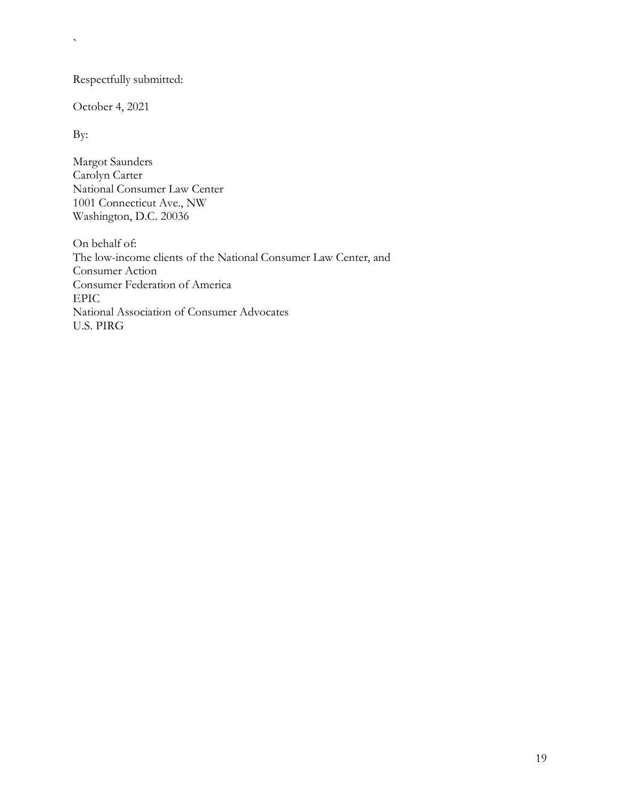Respectfully submitted:

October 4, 2021

By:

 $\bar{\mathbf{v}}$ 

Margot Saunders Carolyn Carter National Consumer Law Center 1001 Connecticut Ave., NW Washington, D.C. 20036

On behalf of: The low-income clients of the National Consumer Law Center, and Consumer Action Consumer Federation of America EPIC National Association of Consumer Advocates U.S. PIRG